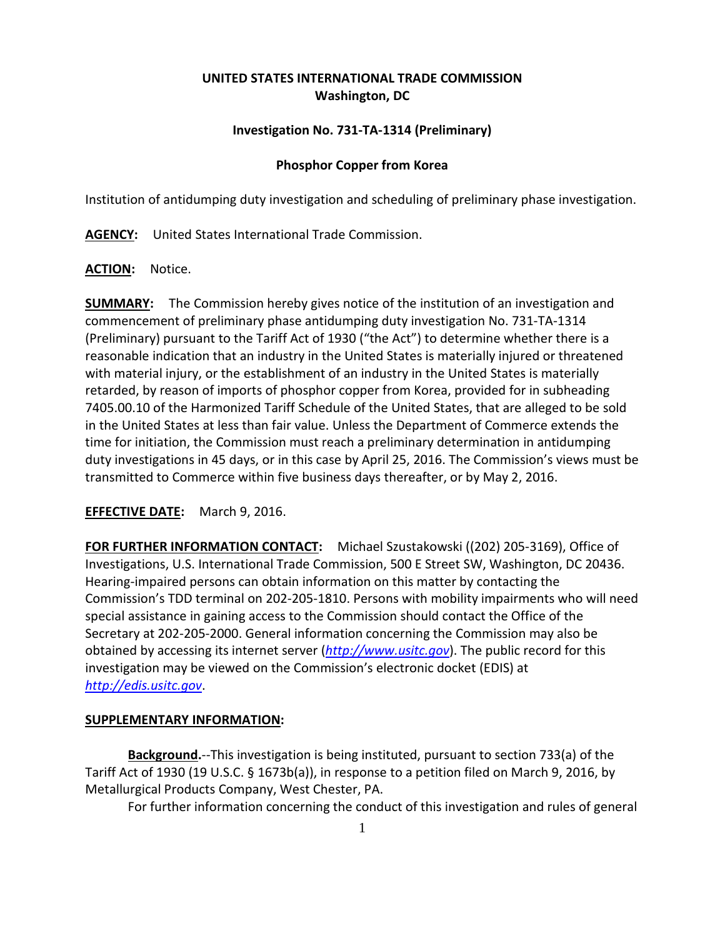# **UNITED STATES INTERNATIONAL TRADE COMMISSION Washington, DC**

## **Investigation No. 731-TA-1314 (Preliminary)**

## **Phosphor Copper from Korea**

Institution of antidumping duty investigation and scheduling of preliminary phase investigation.

**AGENCY:** United States International Trade Commission.

### **ACTION:** Notice.

**SUMMARY:** The Commission hereby gives notice of the institution of an investigation and commencement of preliminary phase antidumping duty investigation No. 731-TA-1314 (Preliminary) pursuant to the Tariff Act of 1930 ("the Act") to determine whether there is a reasonable indication that an industry in the United States is materially injured or threatened with material injury, or the establishment of an industry in the United States is materially retarded, by reason of imports of phosphor copper from Korea, provided for in subheading 7405.00.10 of the Harmonized Tariff Schedule of the United States, that are alleged to be sold in the United States at less than fair value. Unless the Department of Commerce extends the time for initiation, the Commission must reach a preliminary determination in antidumping duty investigations in 45 days, or in this case by April 25, 2016. The Commission's views must be transmitted to Commerce within five business days thereafter, or by May 2, 2016.

## **EFFECTIVE DATE:** March 9, 2016.

**FOR FURTHER INFORMATION CONTACT:** Michael Szustakowski ((202) 205-3169), Office of Investigations, U.S. International Trade Commission, 500 E Street SW, Washington, DC 20436. Hearing-impaired persons can obtain information on this matter by contacting the Commission's TDD terminal on 202-205-1810. Persons with mobility impairments who will need special assistance in gaining access to the Commission should contact the Office of the Secretary at 202-205-2000. General information concerning the Commission may also be obtained by accessing its internet server (*[http://www.usitc.gov](http://www.usitc.gov/)*). The public record for this investigation may be viewed on the Commission's electronic docket (EDIS) at *[http://edis.usitc.gov](http://edis.usitc.gov/)*.

#### **SUPPLEMENTARY INFORMATION:**

**Background.**--This investigation is being instituted, pursuant to section 733(a) of the Tariff Act of 1930 (19 U.S.C. § 1673b(a)), in response to a petition filed on March 9, 2016, by Metallurgical Products Company, West Chester, PA.

For further information concerning the conduct of this investigation and rules of general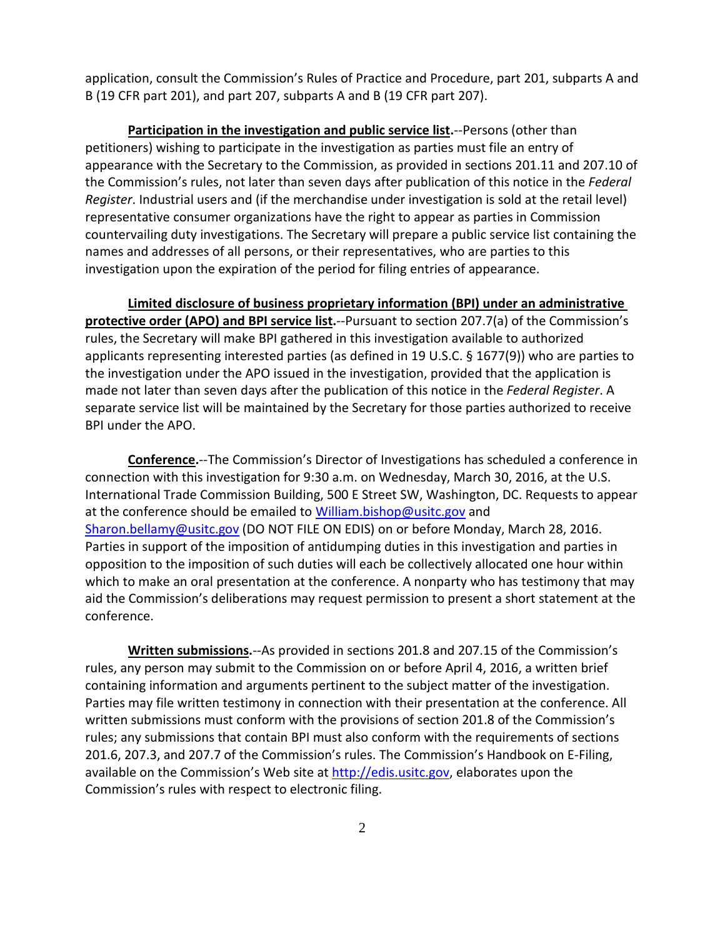application, consult the Commission's Rules of Practice and Procedure, part 201, subparts A and B (19 CFR part 201), and part 207, subparts A and B (19 CFR part 207).

**Participation in the investigation and public service list.**--Persons (other than petitioners) wishing to participate in the investigation as parties must file an entry of appearance with the Secretary to the Commission, as provided in sections 201.11 and 207.10 of the Commission's rules, not later than seven days after publication of this notice in the *Federal Register*. Industrial users and (if the merchandise under investigation is sold at the retail level) representative consumer organizations have the right to appear as parties in Commission countervailing duty investigations. The Secretary will prepare a public service list containing the names and addresses of all persons, or their representatives, who are parties to this investigation upon the expiration of the period for filing entries of appearance.

**Limited disclosure of business proprietary information (BPI) under an administrative protective order (APO) and BPI service list.**--Pursuant to section 207.7(a) of the Commission's rules, the Secretary will make BPI gathered in this investigation available to authorized applicants representing interested parties (as defined in 19 U.S.C. § 1677(9)) who are parties to the investigation under the APO issued in the investigation, provided that the application is made not later than seven days after the publication of this notice in the *Federal Register*. A separate service list will be maintained by the Secretary for those parties authorized to receive BPI under the APO.

**Conference.**--The Commission's Director of Investigations has scheduled a conference in connection with this investigation for 9:30 a.m. on Wednesday, March 30, 2016, at the U.S. International Trade Commission Building, 500 E Street SW, Washington, DC. Requests to appear at the conference should be emailed to [William.bishop@usitc.gov](mailto:William.bishop@usitc.gov) and [Sharon.bellamy@usitc.gov](mailto:Sharon.bellamy@usitc.gov)) (DO NOT FILE ON EDIS) on or before Monday, March 28, 2016. Parties in support of the imposition of antidumping duties in this investigation and parties in opposition to the imposition of such duties will each be collectively allocated one hour within which to make an oral presentation at the conference. A nonparty who has testimony that may aid the Commission's deliberations may request permission to present a short statement at the conference.

**Written submissions.**--As provided in sections 201.8 and 207.15 of the Commission's rules, any person may submit to the Commission on or before April 4, 2016, a written brief containing information and arguments pertinent to the subject matter of the investigation. Parties may file written testimony in connection with their presentation at the conference. All written submissions must conform with the provisions of section 201.8 of the Commission's rules; any submissions that contain BPI must also conform with the requirements of sections 201.6, 207.3, and 207.7 of the Commission's rules. The Commission's Handbook on E-Filing, available on the Commission's Web site at [http://edis.usitc.gov,](http://edis.usitc.gov/) elaborates upon the Commission's rules with respect to electronic filing.